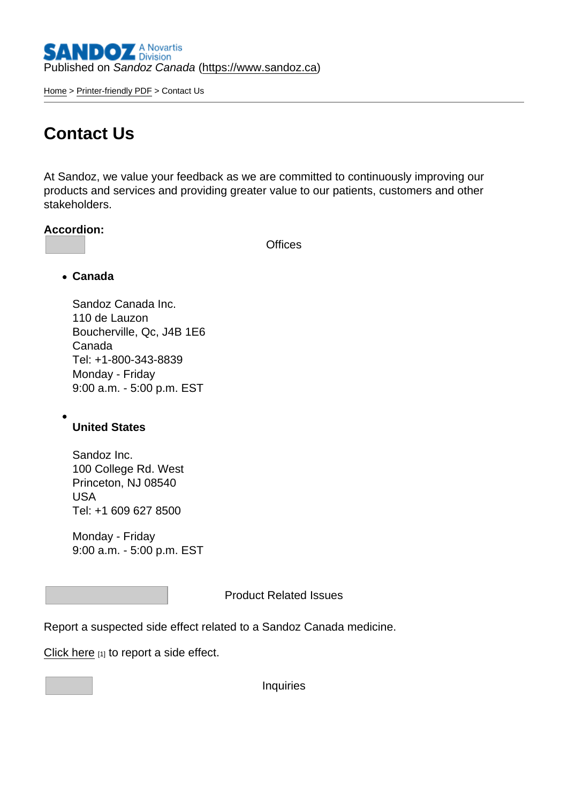Published on Sandoz Canada [\(https://www.sandoz.ca](https://www.sandoz.ca))

[Home](https://www.sandoz.ca/en) > [Printer-friendly PDF](https://www.sandoz.ca/en/printpdf) > Contact Us

## Contact Us

At Sandoz, we value your feedback as we are committed to continuously improving our products and services and providing greater value to our patients, customers and other stakeholders.

Accordion :

**Offices** 

Canada

Sandoz Canada Inc. 110 de Lauzon Boucherville, Qc, J4B 1E6 Canada Tel: +1-800-343-8839 Monday - Friday 9:00 a.m. - 5:00 p.m. EST

United States

 $\bullet$ 

Sandoz Inc. 100 College Rd. West Princeton, NJ 08540 USA Tel: +1 609 627 8500

Monday - Friday 9:00 a.m. - 5:00 p.m. EST

Product Related Issues

Report a suspected side effect related to a Sandoz Canada medicine.

[Click here](https://www.report.novartis.com/) [1] to report a side effect.

**Inquiries**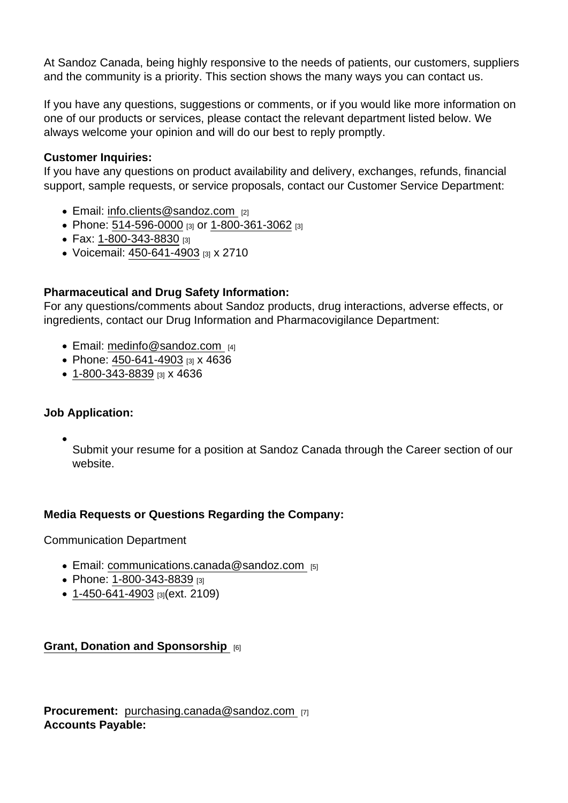At Sandoz Canada, being highly responsive to the needs of patients, our customers, suppliers and the community is a priority. This section shows the many ways you can contact us.

If you have any questions, suggestions or comments, or if you would like more information on one of our products or services, please contact the relevant department listed below. We always welcome your opinion and will do our best to reply promptly.

## Customer Inquiries:

If you have any questions on product availability and delivery, exchanges, refunds, financial support, sample requests, or service proposals, contact our Customer Service Department:

- Email: [info.clients@sandoz.com](mailto:info.clients@sandoz.com) [2]
- Phone:  $514-596-0000$  [3] or  $1-800-361-3062$  [3]
- Fax: [1-800-343-8830](https://www.sandoz.ca/en) [3]
- Voicemail: [450-641-4903](https://www.sandoz.ca/en) [3] x 2710

Pharmaceutical and Drug Safety Information:

For any questions/comments about Sandoz products, drug interactions, adverse effects, or ingredients, contact our Drug Information and Pharmacovigilance Department:

- Email: [medinfo@sandoz.com](https://www.sandoz.ca/en/medinfo@sandoz.com)  $_{[4]}$
- Phone:  $450 641 4903$  [3] x 4636
- [1-800-343-8839](https://www.sandoz.ca/en) [3] x 4636

Job Application:

Submit your resume for a position at Sandoz Canada through the Career section of our website.

Media Requests or Questions Regarding the Company:

Communication Department

- Email: [communications.canada@sandoz.com](mailto:communications.canada@sandoz.com) [5]
- Phone: [1-800-343-8839](https://www.sandoz.ca/en) [3]
- [1-450-641-4903](https://www.sandoz.ca/en) [3](ext. 2109)

[Grant, Donation and Sponsorship](https://www.sandoz.ca/en/grants-donations-and-sponsorships) [6]

Procurement: [purchasing.canada@sandoz.com](mailto:purchasing.canada@sandoz.com) [7] Accounts Payable: